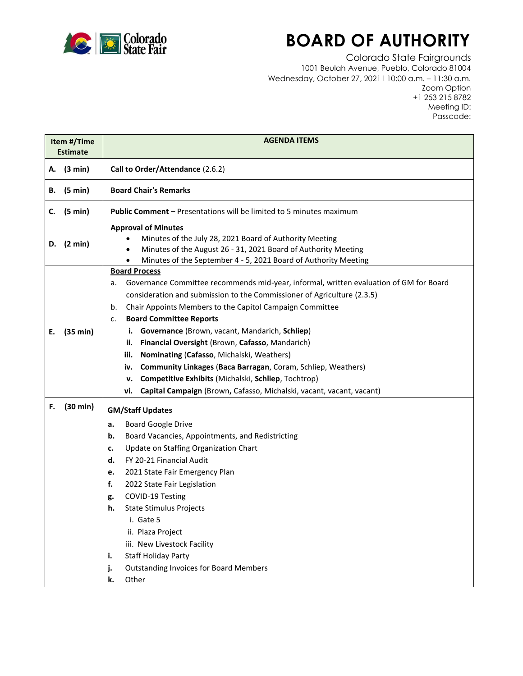

## **BOARD OF AUTHORITY**

Colorado State Fairgrounds 1001 Beulah Avenue, Pueblo, Colorado 81004 Wednesday, October 27, 2021 l 10:00 a.m. – 11:30 a.m. Zoom Option +1 253 215 8782 Meeting ID: Passcode:

| <b>Estimate</b> | <b>AGENDA ITEMS</b>                                                                                                                                                                                                                                                                                                                                                                                                                                                                                                                                                                                                                                                                                 |
|-----------------|-----------------------------------------------------------------------------------------------------------------------------------------------------------------------------------------------------------------------------------------------------------------------------------------------------------------------------------------------------------------------------------------------------------------------------------------------------------------------------------------------------------------------------------------------------------------------------------------------------------------------------------------------------------------------------------------------------|
| (3 min)         | Call to Order/Attendance (2.6.2)                                                                                                                                                                                                                                                                                                                                                                                                                                                                                                                                                                                                                                                                    |
| (5 min)         | <b>Board Chair's Remarks</b>                                                                                                                                                                                                                                                                                                                                                                                                                                                                                                                                                                                                                                                                        |
| (5 min)         | <b>Public Comment - Presentations will be limited to 5 minutes maximum</b>                                                                                                                                                                                                                                                                                                                                                                                                                                                                                                                                                                                                                          |
| (2 min)         | <b>Approval of Minutes</b><br>Minutes of the July 28, 2021 Board of Authority Meeting<br>Minutes of the August 26 - 31, 2021 Board of Authority Meeting<br>$\bullet$<br>Minutes of the September 4 - 5, 2021 Board of Authority Meeting<br>$\bullet$                                                                                                                                                                                                                                                                                                                                                                                                                                                |
| (35 min)        | <b>Board Process</b><br>Governance Committee recommends mid-year, informal, written evaluation of GM for Board<br>а.<br>consideration and submission to the Commissioner of Agriculture (2.3.5)<br>Chair Appoints Members to the Capitol Campaign Committee<br>b.<br><b>Board Committee Reports</b><br>c.<br>Governance (Brown, vacant, Mandarich, Schliep)<br>i.<br>Financial Oversight (Brown, Cafasso, Mandarich)<br>ii.<br>iii.<br>Nominating (Cafasso, Michalski, Weathers)<br>Community Linkages (Baca Barragan, Coram, Schliep, Weathers)<br>iv.<br>Competitive Exhibits (Michalski, Schliep, Tochtrop)<br>v.<br>Capital Campaign (Brown, Cafasso, Michalski, vacant, vacant, vacant)<br>vi. |
| (30 min)        | <b>GM/Staff Updates</b><br><b>Board Google Drive</b><br>а.<br>Board Vacancies, Appointments, and Redistricting<br>b.<br>Update on Staffing Organization Chart<br>c.<br>FY 20-21 Financial Audit<br>d.<br>2021 State Fair Emergency Plan<br>e.<br>f.<br>2022 State Fair Legislation<br>COVID-19 Testing<br>g.<br><b>State Stimulus Projects</b><br>h.<br>i. Gate 5<br>ii. Plaza Project<br>iii. New Livestock Facility<br><b>Staff Holiday Party</b><br>i.<br><b>Outstanding Invoices for Board Members</b><br>j.                                                                                                                                                                                    |
|                 |                                                                                                                                                                                                                                                                                                                                                                                                                                                                                                                                                                                                                                                                                                     |